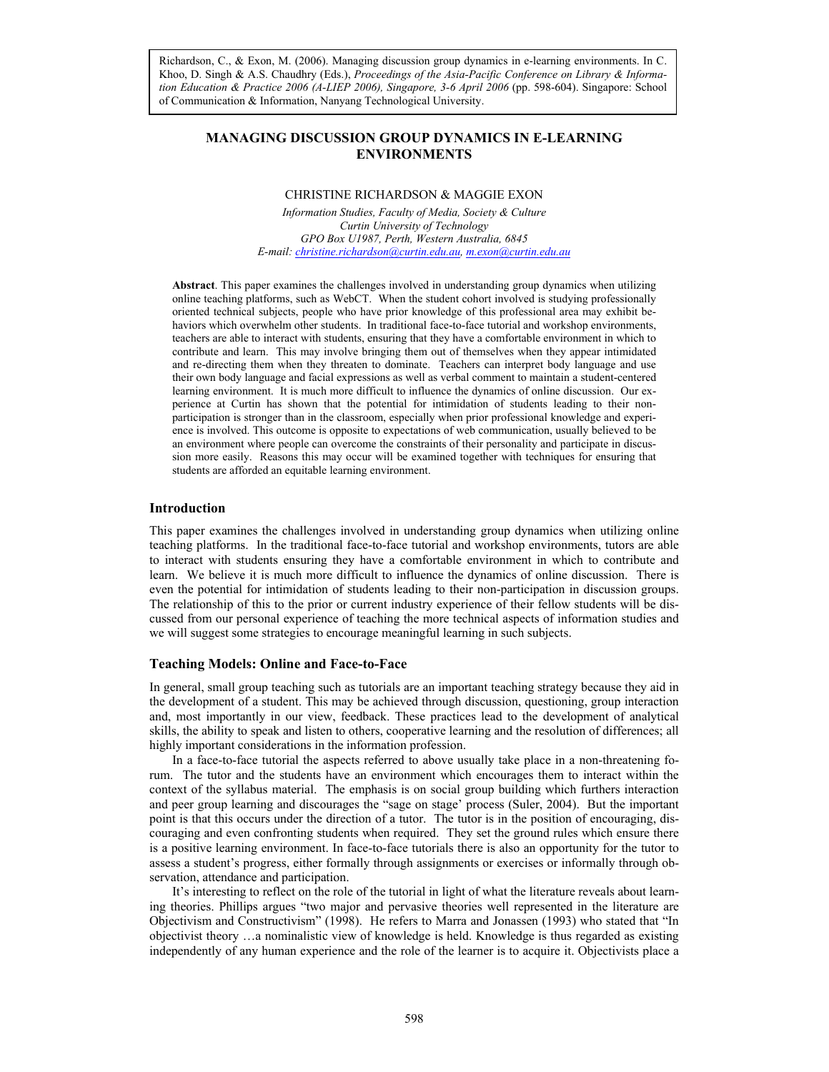*Asia-Pacific Conference on Library & Information Education & Practice, 2006 tion Education & Practice 2006 (A-LIEP 2006), Singapore, 3-6 April 2006* (pp. 598-604). Singapore: School Richardson, C., & Exon, M. (2006). Managing discussion group dynamics in e-learning environments. In C. Khoo, D. Singh & A.S. Chaudhry (Eds.), *Proceedings of the Asia-Pacific Conference on Library & Informa*of Communication & Information, Nanyang Technological University.

# **MANAGING DISCUSSION GROUP DYNAMICS IN E-LEARNING ENVIRONMENTS**

# CHRISTINE RICHARDSON & MAGGIE EXON

*Information Studies, Faculty of Media, Society & Culture Curtin University of Technology GPO Box U1987, Perth, Western Australia, 6845 E-mail: christine.richardson@curtin.edu.au, m.exon@curtin.edu.au*

**Abstract**. This paper examines the challenges involved in understanding group dynamics when utilizing online teaching platforms, such as WebCT. When the student cohort involved is studying professionally oriented technical subjects, people who have prior knowledge of this professional area may exhibit behaviors which overwhelm other students. In traditional face-to-face tutorial and workshop environments, teachers are able to interact with students, ensuring that they have a comfortable environment in which to contribute and learn. This may involve bringing them out of themselves when they appear intimidated and re-directing them when they threaten to dominate. Teachers can interpret body language and use their own body language and facial expressions as well as verbal comment to maintain a student-centered learning environment. It is much more difficult to influence the dynamics of online discussion. Our experience at Curtin has shown that the potential for intimidation of students leading to their nonparticipation is stronger than in the classroom, especially when prior professional knowledge and experience is involved. This outcome is opposite to expectations of web communication, usually believed to be an environment where people can overcome the constraints of their personality and participate in discussion more easily. Reasons this may occur will be examined together with techniques for ensuring that students are afforded an equitable learning environment.

#### **Introduction**

This paper examines the challenges involved in understanding group dynamics when utilizing online teaching platforms. In the traditional face-to-face tutorial and workshop environments, tutors are able to interact with students ensuring they have a comfortable environment in which to contribute and learn. We believe it is much more difficult to influence the dynamics of online discussion. There is even the potential for intimidation of students leading to their non-participation in discussion groups. The relationship of this to the prior or current industry experience of their fellow students will be discussed from our personal experience of teaching the more technical aspects of information studies and we will suggest some strategies to encourage meaningful learning in such subjects.

#### **Teaching Models: Online and Face-to-Face**

In general, small group teaching such as tutorials are an important teaching strategy because they aid in the development of a student. This may be achieved through discussion, questioning, group interaction and, most importantly in our view, feedback. These practices lead to the development of analytical skills, the ability to speak and listen to others, cooperative learning and the resolution of differences; all highly important considerations in the information profession.

In a face-to-face tutorial the aspects referred to above usually take place in a non-threatening forum. The tutor and the students have an environment which encourages them to interact within the context of the syllabus material. The emphasis is on social group building which furthers interaction and peer group learning and discourages the "sage on stage' process (Suler, 2004). But the important point is that this occurs under the direction of a tutor. The tutor is in the position of encouraging, discouraging and even confronting students when required. They set the ground rules which ensure there is a positive learning environment. In face-to-face tutorials there is also an opportunity for the tutor to assess a student's progress, either formally through assignments or exercises or informally through observation, attendance and participation.

It's interesting to reflect on the role of the tutorial in light of what the literature reveals about learning theories. Phillips argues "two major and pervasive theories well represented in the literature are Objectivism and Constructivism" (1998). He refers to Marra and Jonassen (1993) who stated that "In objectivist theory …a nominalistic view of knowledge is held. Knowledge is thus regarded as existing independently of any human experience and the role of the learner is to acquire it. Objectivists place a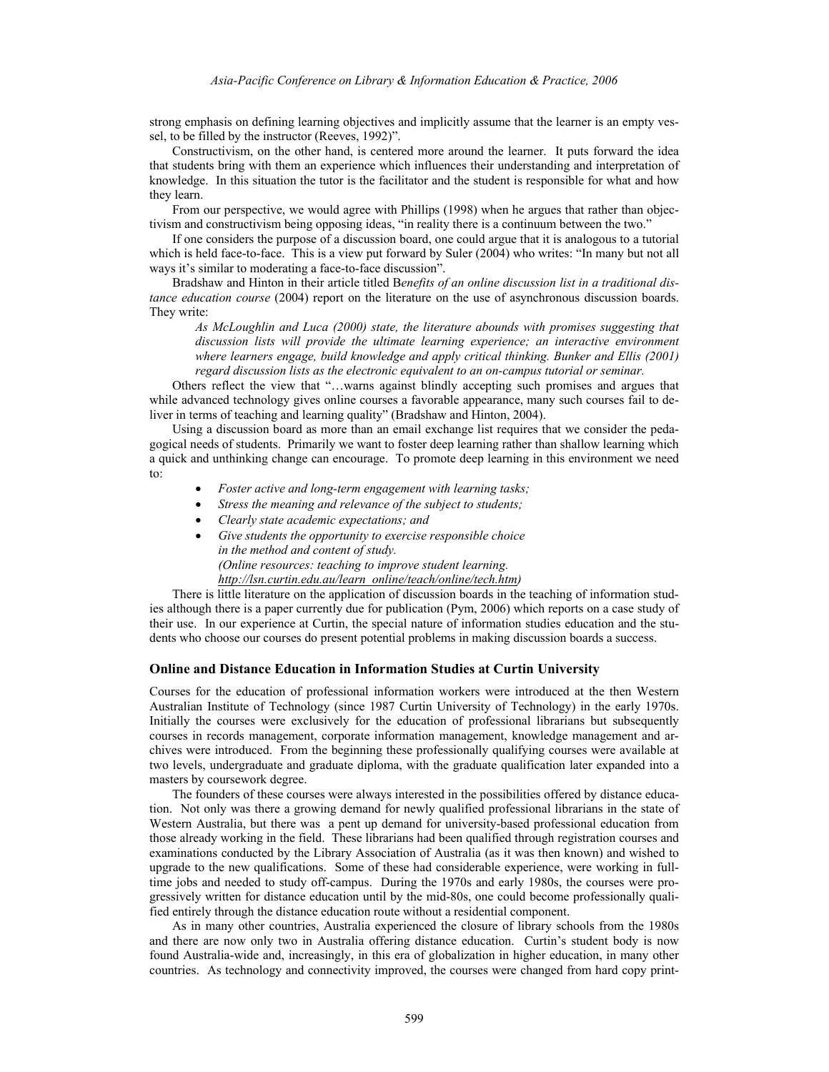strong emphasis on defining learning objectives and implicitly assume that the learner is an empty vessel, to be filled by the instructor (Reeves, 1992)".

Constructivism, on the other hand, is centered more around the learner. It puts forward the idea that students bring with them an experience which influences their understanding and interpretation of knowledge. In this situation the tutor is the facilitator and the student is responsible for what and how they learn.

From our perspective, we would agree with Phillips (1998) when he argues that rather than objectivism and constructivism being opposing ideas, "in reality there is a continuum between the two."

If one considers the purpose of a discussion board, one could argue that it is analogous to a tutorial which is held face-to-face. This is a view put forward by Suler (2004) who writes: "In many but not all ways it's similar to moderating a face-to-face discussion".

Bradshaw and Hinton in their article titled B*enefits of an online discussion list in a traditional distance education course* (2004) report on the literature on the use of asynchronous discussion boards. They write:

*As McLoughlin and Luca (2000) state, the literature abounds with promises suggesting that discussion lists will provide the ultimate learning experience; an interactive environment where learners engage, build knowledge and apply critical thinking. Bunker and Ellis (2001) regard discussion lists as the electronic equivalent to an on-campus tutorial or seminar.* 

Others reflect the view that "…warns against blindly accepting such promises and argues that while advanced technology gives online courses a favorable appearance, many such courses fail to deliver in terms of teaching and learning quality" (Bradshaw and Hinton, 2004).

Using a discussion board as more than an email exchange list requires that we consider the pedagogical needs of students. Primarily we want to foster deep learning rather than shallow learning which a quick and unthinking change can encourage. To promote deep learning in this environment we need to:

- *Foster active and long-term engagement with learning tasks;*
- *Stress the meaning and relevance of the subject to students;*
- *Clearly state academic expectations; and*
- *Give students the opportunity to exercise responsible choice in the method and content of study. (Online resources: teaching to improve student learning. http://lsn.curtin.edu.au/learn\_online/teach/online/tech.htm)*

There is little literature on the application of discussion boards in the teaching of information studies although there is a paper currently due for publication (Pym, 2006) which reports on a case study of their use. In our experience at Curtin, the special nature of information studies education and the students who choose our courses do present potential problems in making discussion boards a success.

# **Online and Distance Education in Information Studies at Curtin University**

Courses for the education of professional information workers were introduced at the then Western Australian Institute of Technology (since 1987 Curtin University of Technology) in the early 1970s. Initially the courses were exclusively for the education of professional librarians but subsequently courses in records management, corporate information management, knowledge management and archives were introduced. From the beginning these professionally qualifying courses were available at two levels, undergraduate and graduate diploma, with the graduate qualification later expanded into a masters by coursework degree.

The founders of these courses were always interested in the possibilities offered by distance education. Not only was there a growing demand for newly qualified professional librarians in the state of Western Australia, but there was a pent up demand for university-based professional education from those already working in the field. These librarians had been qualified through registration courses and examinations conducted by the Library Association of Australia (as it was then known) and wished to upgrade to the new qualifications. Some of these had considerable experience, were working in fulltime jobs and needed to study off-campus. During the 1970s and early 1980s, the courses were progressively written for distance education until by the mid-80s, one could become professionally qualified entirely through the distance education route without a residential component.

As in many other countries, Australia experienced the closure of library schools from the 1980s and there are now only two in Australia offering distance education. Curtin's student body is now found Australia-wide and, increasingly, in this era of globalization in higher education, in many other countries. As technology and connectivity improved, the courses were changed from hard copy print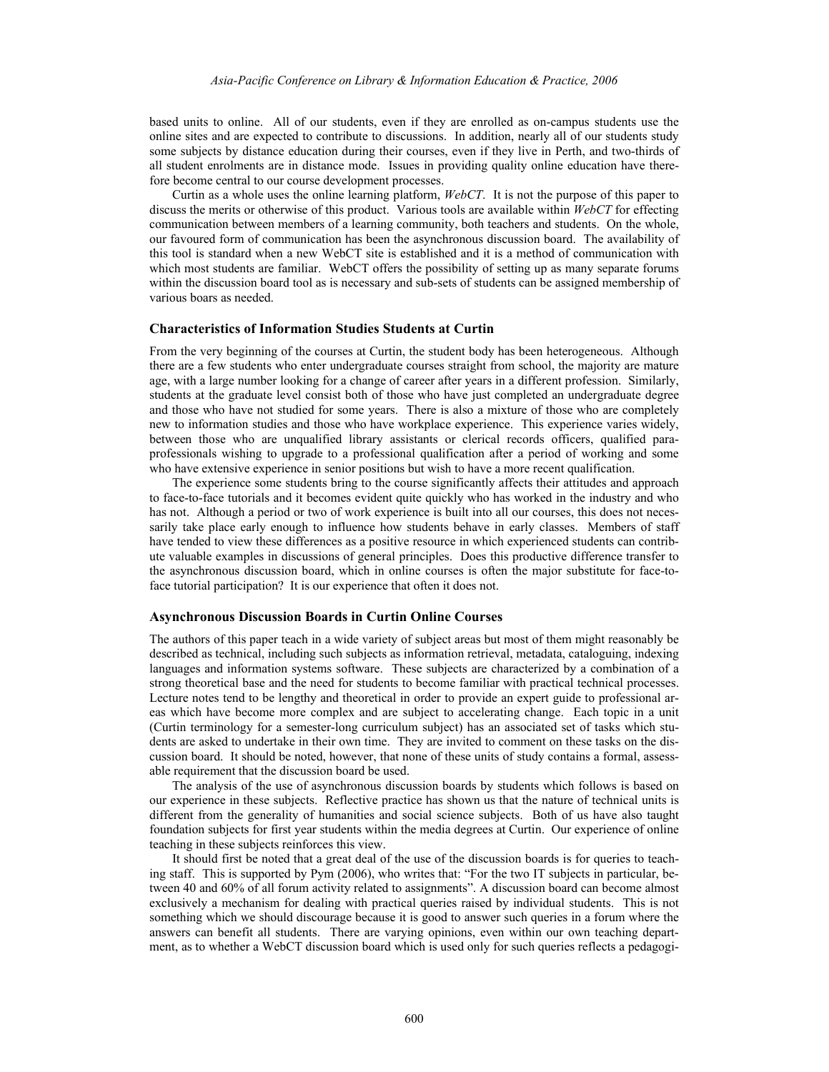based units to online. All of our students, even if they are enrolled as on-campus students use the online sites and are expected to contribute to discussions. In addition, nearly all of our students study some subjects by distance education during their courses, even if they live in Perth, and two-thirds of all student enrolments are in distance mode. Issues in providing quality online education have therefore become central to our course development processes.

Curtin as a whole uses the online learning platform, *WebCT*. It is not the purpose of this paper to discuss the merits or otherwise of this product. Various tools are available within *WebCT* for effecting communication between members of a learning community, both teachers and students. On the whole, our favoured form of communication has been the asynchronous discussion board. The availability of this tool is standard when a new WebCT site is established and it is a method of communication with which most students are familiar. WebCT offers the possibility of setting up as many separate forums within the discussion board tool as is necessary and sub-sets of students can be assigned membership of various boars as needed.

### **Characteristics of Information Studies Students at Curtin**

From the very beginning of the courses at Curtin, the student body has been heterogeneous. Although there are a few students who enter undergraduate courses straight from school, the majority are mature age, with a large number looking for a change of career after years in a different profession. Similarly, students at the graduate level consist both of those who have just completed an undergraduate degree and those who have not studied for some years. There is also a mixture of those who are completely new to information studies and those who have workplace experience. This experience varies widely, between those who are unqualified library assistants or clerical records officers, qualified paraprofessionals wishing to upgrade to a professional qualification after a period of working and some who have extensive experience in senior positions but wish to have a more recent qualification.

The experience some students bring to the course significantly affects their attitudes and approach to face-to-face tutorials and it becomes evident quite quickly who has worked in the industry and who has not. Although a period or two of work experience is built into all our courses, this does not necessarily take place early enough to influence how students behave in early classes. Members of staff have tended to view these differences as a positive resource in which experienced students can contribute valuable examples in discussions of general principles. Does this productive difference transfer to the asynchronous discussion board, which in online courses is often the major substitute for face-toface tutorial participation? It is our experience that often it does not.

#### **Asynchronous Discussion Boards in Curtin Online Courses**

The authors of this paper teach in a wide variety of subject areas but most of them might reasonably be described as technical, including such subjects as information retrieval, metadata, cataloguing, indexing languages and information systems software. These subjects are characterized by a combination of a strong theoretical base and the need for students to become familiar with practical technical processes. Lecture notes tend to be lengthy and theoretical in order to provide an expert guide to professional areas which have become more complex and are subject to accelerating change. Each topic in a unit (Curtin terminology for a semester-long curriculum subject) has an associated set of tasks which students are asked to undertake in their own time. They are invited to comment on these tasks on the discussion board. It should be noted, however, that none of these units of study contains a formal, assessable requirement that the discussion board be used.

The analysis of the use of asynchronous discussion boards by students which follows is based on our experience in these subjects. Reflective practice has shown us that the nature of technical units is different from the generality of humanities and social science subjects. Both of us have also taught foundation subjects for first year students within the media degrees at Curtin. Our experience of online teaching in these subjects reinforces this view.

It should first be noted that a great deal of the use of the discussion boards is for queries to teaching staff. This is supported by Pym (2006), who writes that: "For the two IT subjects in particular, between 40 and 60% of all forum activity related to assignments". A discussion board can become almost exclusively a mechanism for dealing with practical queries raised by individual students. This is not something which we should discourage because it is good to answer such queries in a forum where the answers can benefit all students. There are varying opinions, even within our own teaching department, as to whether a WebCT discussion board which is used only for such queries reflects a pedagogi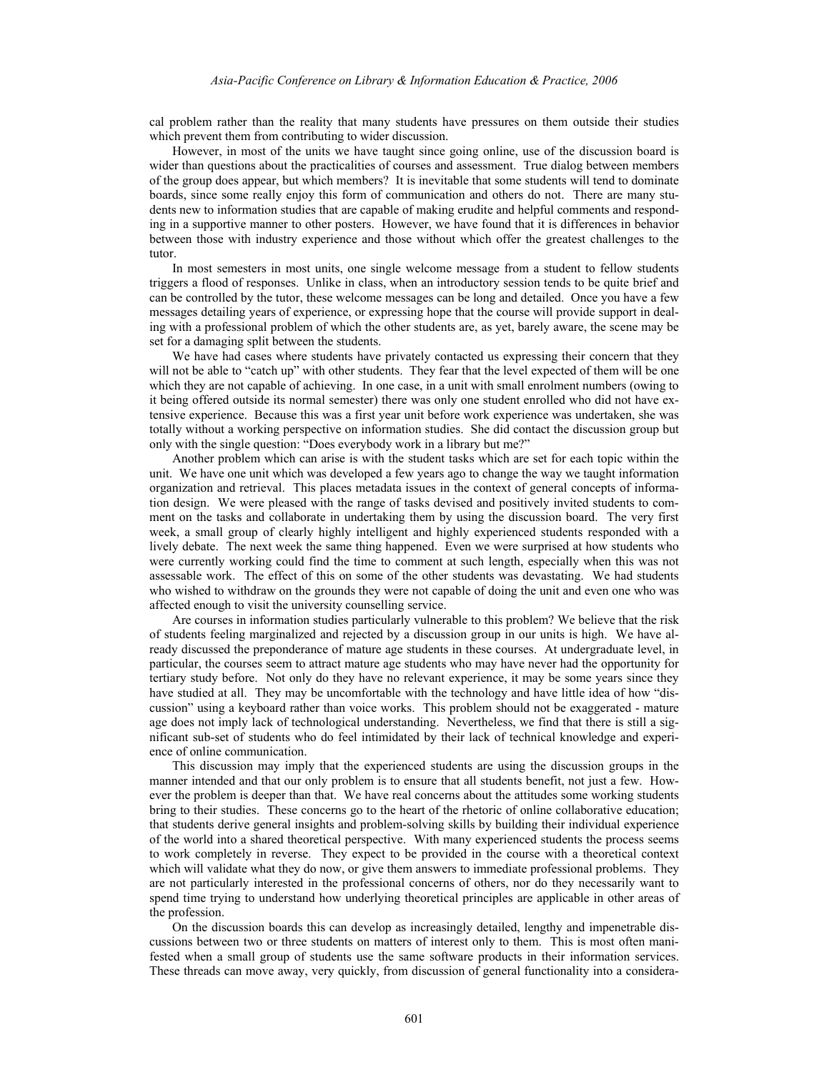cal problem rather than the reality that many students have pressures on them outside their studies which prevent them from contributing to wider discussion.

However, in most of the units we have taught since going online, use of the discussion board is wider than questions about the practicalities of courses and assessment. True dialog between members of the group does appear, but which members? It is inevitable that some students will tend to dominate boards, since some really enjoy this form of communication and others do not. There are many students new to information studies that are capable of making erudite and helpful comments and responding in a supportive manner to other posters. However, we have found that it is differences in behavior between those with industry experience and those without which offer the greatest challenges to the tutor.

In most semesters in most units, one single welcome message from a student to fellow students triggers a flood of responses. Unlike in class, when an introductory session tends to be quite brief and can be controlled by the tutor, these welcome messages can be long and detailed. Once you have a few messages detailing years of experience, or expressing hope that the course will provide support in dealing with a professional problem of which the other students are, as yet, barely aware, the scene may be set for a damaging split between the students.

We have had cases where students have privately contacted us expressing their concern that they will not be able to "catch up" with other students. They fear that the level expected of them will be one which they are not capable of achieving. In one case, in a unit with small enrolment numbers (owing to it being offered outside its normal semester) there was only one student enrolled who did not have extensive experience. Because this was a first year unit before work experience was undertaken, she was totally without a working perspective on information studies. She did contact the discussion group but only with the single question: "Does everybody work in a library but me?"

Another problem which can arise is with the student tasks which are set for each topic within the unit. We have one unit which was developed a few years ago to change the way we taught information organization and retrieval. This places metadata issues in the context of general concepts of information design. We were pleased with the range of tasks devised and positively invited students to comment on the tasks and collaborate in undertaking them by using the discussion board. The very first week, a small group of clearly highly intelligent and highly experienced students responded with a lively debate. The next week the same thing happened. Even we were surprised at how students who were currently working could find the time to comment at such length, especially when this was not assessable work. The effect of this on some of the other students was devastating. We had students who wished to withdraw on the grounds they were not capable of doing the unit and even one who was affected enough to visit the university counselling service.

Are courses in information studies particularly vulnerable to this problem? We believe that the risk of students feeling marginalized and rejected by a discussion group in our units is high. We have already discussed the preponderance of mature age students in these courses. At undergraduate level, in particular, the courses seem to attract mature age students who may have never had the opportunity for tertiary study before. Not only do they have no relevant experience, it may be some years since they have studied at all. They may be uncomfortable with the technology and have little idea of how "discussion" using a keyboard rather than voice works. This problem should not be exaggerated - mature age does not imply lack of technological understanding. Nevertheless, we find that there is still a significant sub-set of students who do feel intimidated by their lack of technical knowledge and experience of online communication.

This discussion may imply that the experienced students are using the discussion groups in the manner intended and that our only problem is to ensure that all students benefit, not just a few. However the problem is deeper than that. We have real concerns about the attitudes some working students bring to their studies. These concerns go to the heart of the rhetoric of online collaborative education; that students derive general insights and problem-solving skills by building their individual experience of the world into a shared theoretical perspective. With many experienced students the process seems to work completely in reverse. They expect to be provided in the course with a theoretical context which will validate what they do now, or give them answers to immediate professional problems. They are not particularly interested in the professional concerns of others, nor do they necessarily want to spend time trying to understand how underlying theoretical principles are applicable in other areas of the profession.

On the discussion boards this can develop as increasingly detailed, lengthy and impenetrable discussions between two or three students on matters of interest only to them. This is most often manifested when a small group of students use the same software products in their information services. These threads can move away, very quickly, from discussion of general functionality into a considera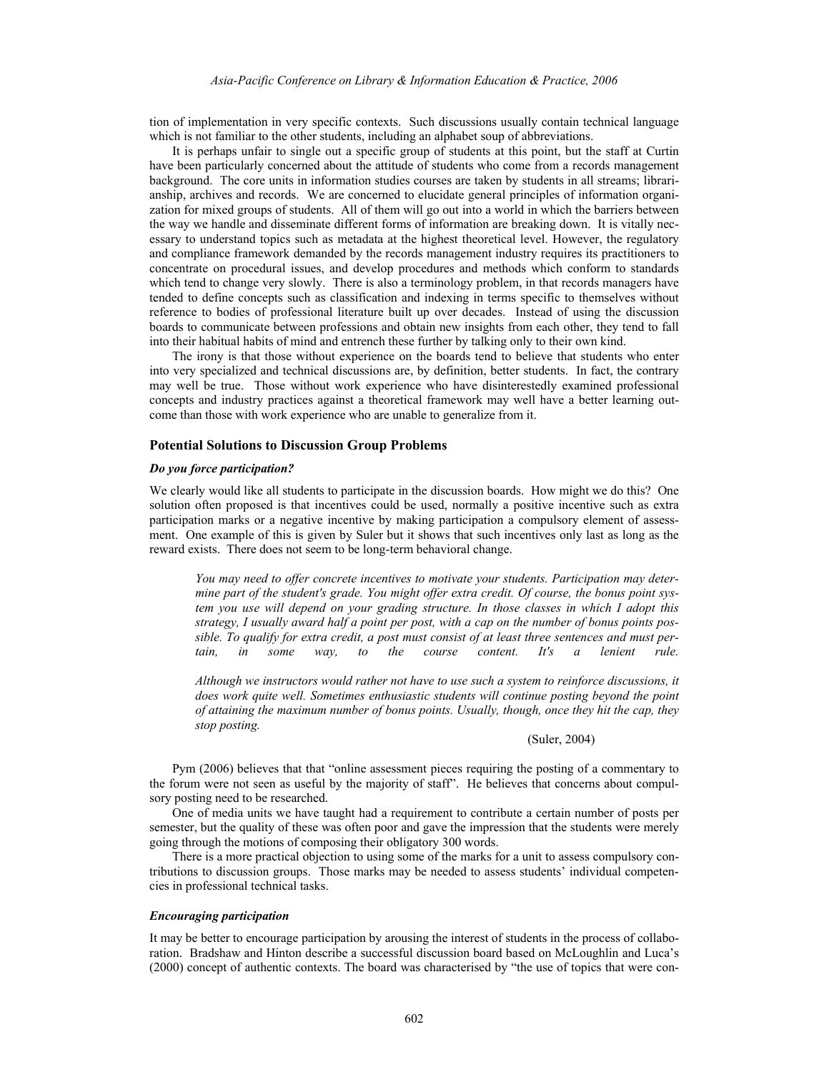tion of implementation in very specific contexts. Such discussions usually contain technical language which is not familiar to the other students, including an alphabet soup of abbreviations.

It is perhaps unfair to single out a specific group of students at this point, but the staff at Curtin have been particularly concerned about the attitude of students who come from a records management background. The core units in information studies courses are taken by students in all streams; librarianship, archives and records. We are concerned to elucidate general principles of information organization for mixed groups of students. All of them will go out into a world in which the barriers between the way we handle and disseminate different forms of information are breaking down. It is vitally necessary to understand topics such as metadata at the highest theoretical level. However, the regulatory and compliance framework demanded by the records management industry requires its practitioners to concentrate on procedural issues, and develop procedures and methods which conform to standards which tend to change very slowly. There is also a terminology problem, in that records managers have tended to define concepts such as classification and indexing in terms specific to themselves without reference to bodies of professional literature built up over decades. Instead of using the discussion boards to communicate between professions and obtain new insights from each other, they tend to fall into their habitual habits of mind and entrench these further by talking only to their own kind.

The irony is that those without experience on the boards tend to believe that students who enter into very specialized and technical discussions are, by definition, better students. In fact, the contrary may well be true. Those without work experience who have disinterestedly examined professional concepts and industry practices against a theoretical framework may well have a better learning outcome than those with work experience who are unable to generalize from it.

### **Potential Solutions to Discussion Group Problems**

## *Do you force participation?*

We clearly would like all students to participate in the discussion boards. How might we do this? One solution often proposed is that incentives could be used, normally a positive incentive such as extra participation marks or a negative incentive by making participation a compulsory element of assessment. One example of this is given by Suler but it shows that such incentives only last as long as the reward exists. There does not seem to be long-term behavioral change.

*You may need to offer concrete incentives to motivate your students. Participation may determine part of the student's grade. You might offer extra credit. Of course, the bonus point system you use will depend on your grading structure. In those classes in which I adopt this strategy, I usually award half a point per post, with a cap on the number of bonus points possible. To qualify for extra credit, a post must consist of at least three sentences and must pertain, in some way, to the course content. It's a lenient rule.* 

*Although we instructors would rather not have to use such a system to reinforce discussions, it does work quite well. Sometimes enthusiastic students will continue posting beyond the point of attaining the maximum number of bonus points. Usually, though, once they hit the cap, they stop posting.* 

#### (Suler, 2004)

Pym (2006) believes that that "online assessment pieces requiring the posting of a commentary to the forum were not seen as useful by the majority of staff". He believes that concerns about compulsory posting need to be researched.

One of media units we have taught had a requirement to contribute a certain number of posts per semester, but the quality of these was often poor and gave the impression that the students were merely going through the motions of composing their obligatory 300 words.

There is a more practical objection to using some of the marks for a unit to assess compulsory contributions to discussion groups. Those marks may be needed to assess students' individual competencies in professional technical tasks.

#### *Encouraging participation*

It may be better to encourage participation by arousing the interest of students in the process of collaboration. Bradshaw and Hinton describe a successful discussion board based on McLoughlin and Luca's (2000) concept of authentic contexts. The board was characterised by "the use of topics that were con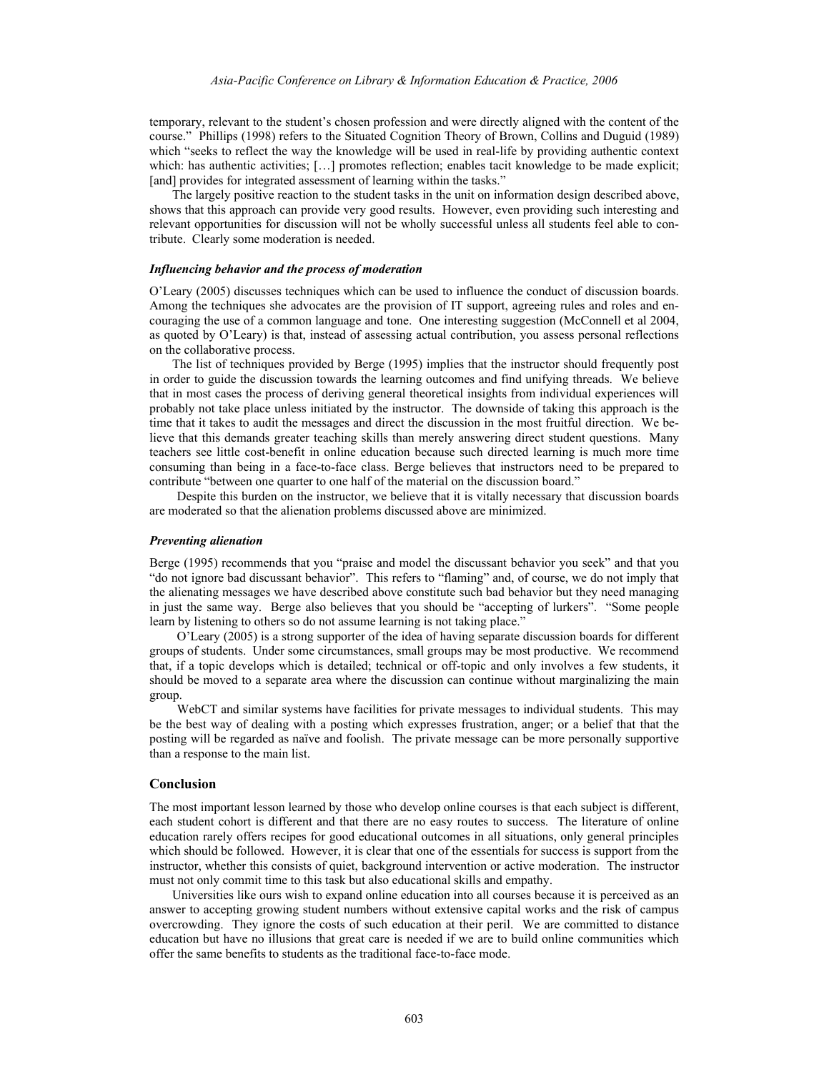temporary, relevant to the student's chosen profession and were directly aligned with the content of the course." Phillips (1998) refers to the Situated Cognition Theory of Brown, Collins and Duguid (1989) which "seeks to reflect the way the knowledge will be used in real-life by providing authentic context which: has authentic activities; [...] promotes reflection; enables tacit knowledge to be made explicit; [and] provides for integrated assessment of learning within the tasks."

The largely positive reaction to the student tasks in the unit on information design described above, shows that this approach can provide very good results. However, even providing such interesting and relevant opportunities for discussion will not be wholly successful unless all students feel able to contribute. Clearly some moderation is needed.

# *Influencing behavior and the process of moderation*

O'Leary (2005) discusses techniques which can be used to influence the conduct of discussion boards. Among the techniques she advocates are the provision of IT support, agreeing rules and roles and encouraging the use of a common language and tone. One interesting suggestion (McConnell et al 2004, as quoted by O'Leary) is that, instead of assessing actual contribution, you assess personal reflections on the collaborative process.

The list of techniques provided by Berge (1995) implies that the instructor should frequently post in order to guide the discussion towards the learning outcomes and find unifying threads. We believe that in most cases the process of deriving general theoretical insights from individual experiences will probably not take place unless initiated by the instructor. The downside of taking this approach is the time that it takes to audit the messages and direct the discussion in the most fruitful direction. We believe that this demands greater teaching skills than merely answering direct student questions. Many teachers see little cost-benefit in online education because such directed learning is much more time consuming than being in a face-to-face class. Berge believes that instructors need to be prepared to contribute "between one quarter to one half of the material on the discussion board."

Despite this burden on the instructor, we believe that it is vitally necessary that discussion boards are moderated so that the alienation problems discussed above are minimized.

### *Preventing alienation*

Berge (1995) recommends that you "praise and model the discussant behavior you seek" and that you "do not ignore bad discussant behavior". This refers to "flaming" and, of course, we do not imply that the alienating messages we have described above constitute such bad behavior but they need managing in just the same way. Berge also believes that you should be "accepting of lurkers". "Some people learn by listening to others so do not assume learning is not taking place."

O'Leary (2005) is a strong supporter of the idea of having separate discussion boards for different groups of students. Under some circumstances, small groups may be most productive. We recommend that, if a topic develops which is detailed; technical or off-topic and only involves a few students, it should be moved to a separate area where the discussion can continue without marginalizing the main group.

WebCT and similar systems have facilities for private messages to individual students. This may be the best way of dealing with a posting which expresses frustration, anger; or a belief that that the posting will be regarded as naïve and foolish. The private message can be more personally supportive than a response to the main list.

# **Conclusion**

The most important lesson learned by those who develop online courses is that each subject is different, each student cohort is different and that there are no easy routes to success. The literature of online education rarely offers recipes for good educational outcomes in all situations, only general principles which should be followed. However, it is clear that one of the essentials for success is support from the instructor, whether this consists of quiet, background intervention or active moderation. The instructor must not only commit time to this task but also educational skills and empathy.

Universities like ours wish to expand online education into all courses because it is perceived as an answer to accepting growing student numbers without extensive capital works and the risk of campus overcrowding. They ignore the costs of such education at their peril. We are committed to distance education but have no illusions that great care is needed if we are to build online communities which offer the same benefits to students as the traditional face-to-face mode.